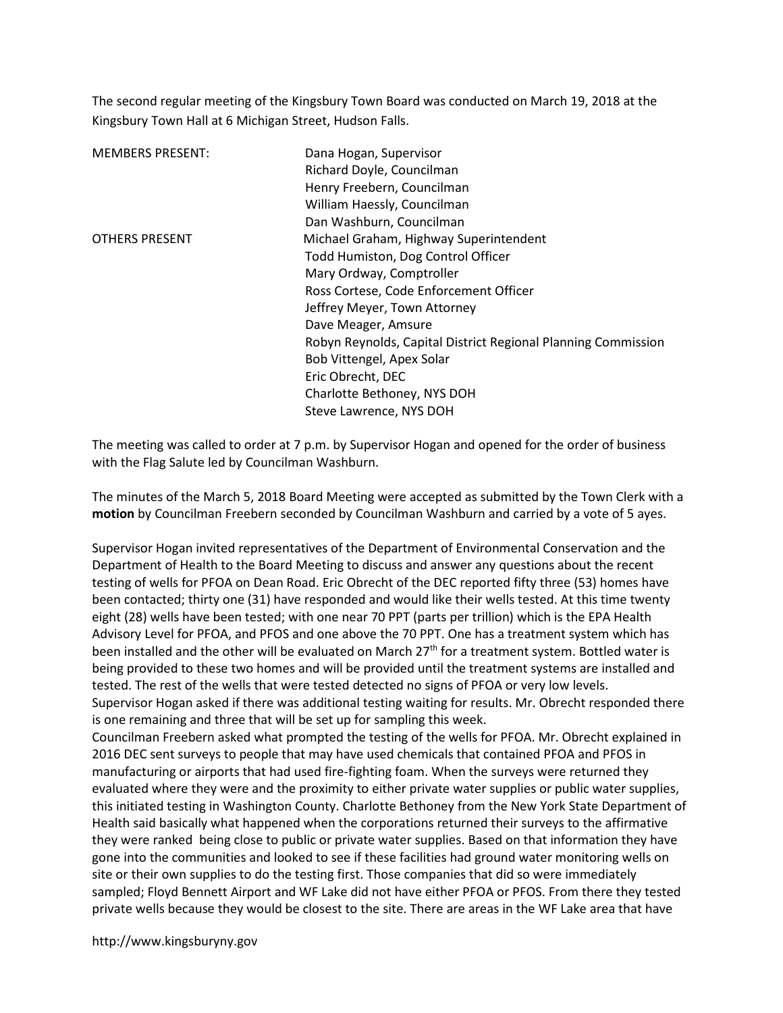The second regular meeting of the Kingsbury Town Board was conducted on March 19, 2018 at the Kingsbury Town Hall at 6 Michigan Street, Hudson Falls.

| <b>MEMBERS PRESENT:</b> | Dana Hogan, Supervisor                                        |
|-------------------------|---------------------------------------------------------------|
|                         | Richard Doyle, Councilman                                     |
|                         | Henry Freebern, Councilman                                    |
|                         | William Haessly, Councilman                                   |
|                         | Dan Washburn, Councilman                                      |
| <b>OTHERS PRESENT</b>   | Michael Graham, Highway Superintendent                        |
|                         | Todd Humiston, Dog Control Officer                            |
|                         | Mary Ordway, Comptroller                                      |
|                         | Ross Cortese, Code Enforcement Officer                        |
|                         | Jeffrey Meyer, Town Attorney                                  |
|                         | Dave Meager, Amsure                                           |
|                         | Robyn Reynolds, Capital District Regional Planning Commission |
|                         | Bob Vittengel, Apex Solar                                     |
|                         | Eric Obrecht, DEC                                             |
|                         | Charlotte Bethoney, NYS DOH                                   |
|                         | Steve Lawrence, NYS DOH                                       |

The meeting was called to order at 7 p.m. by Supervisor Hogan and opened for the order of business with the Flag Salute led by Councilman Washburn.

The minutes of the March 5, 2018 Board Meeting were accepted as submitted by the Town Clerk with a motion by Councilman Freebern seconded by Councilman Washburn and carried by a vote of 5 ayes.

Supervisor Hogan invited representatives of the Department of Environmental Conservation and the Department of Health to the Board Meeting to discuss and answer any questions about the recent testing of wells for PFOA on Dean Road. Eric Obrecht of the DEC reported fifty three (53) homes have been contacted; thirty one (31) have responded and would like their wells tested. At this time twenty eight (28) wells have been tested; with one near 70 PPT (parts per trillion) which is the EPA Health Advisory Level for PFOA, and PFOS and one above the 70 PPT. One has a treatment system which has been installed and the other will be evaluated on March 27<sup>th</sup> for a treatment system. Bottled water is being provided to these two homes and will be provided until the treatment systems are installed and tested. The rest of the wells that were tested detected no signs of PFOA or very low levels. Supervisor Hogan asked if there was additional testing waiting for results. Mr. Obrecht responded there

is one remaining and three that will be set up for sampling this week.

Councilman Freebern asked what prompted the testing of the wells for PFOA. Mr. Obrecht explained in 2016 DEC sent surveys to people that may have used chemicals that contained PFOA and PFOS in manufacturing or airports that had used fire-fighting foam. When the surveys were returned they evaluated where they were and the proximity to either private water supplies or public water supplies, this initiated testing in Washington County. Charlotte Bethoney from the New York State Department of Health said basically what happened when the corporations returned their surveys to the affirmative they were ranked being close to public or private water supplies. Based on that information they have gone into the communities and looked to see if these facilities had ground water monitoring wells on site or their own supplies to do the testing first. Those companies that did so were immediately sampled; Floyd Bennett Airport and WF Lake did not have either PFOA or PFOS. From there they tested private wells because they would be closest to the site. There are areas in the WF Lake area that have

http://www.kingsburyny.gov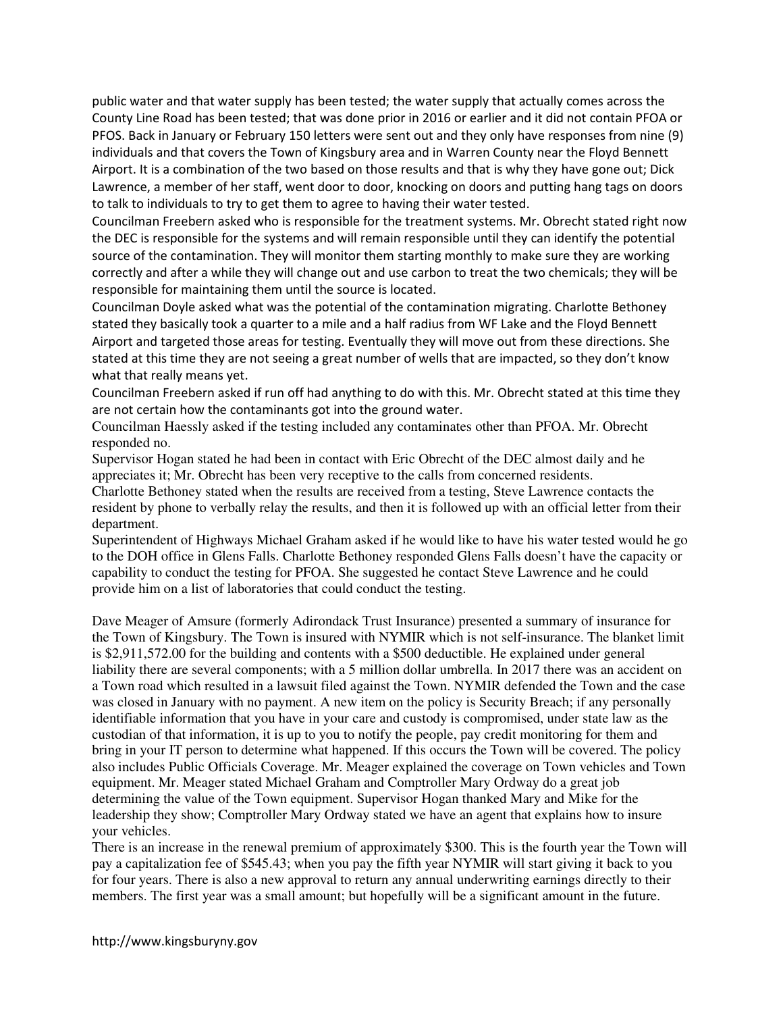public water and that water supply has been tested; the water supply that actually comes across the County Line Road has been tested; that was done prior in 2016 or earlier and it did not contain PFOA or PFOS. Back in January or February 150 letters were sent out and they only have responses from nine (9) individuals and that covers the Town of Kingsbury area and in Warren County near the Floyd Bennett Airport. It is a combination of the two based on those results and that is why they have gone out; Dick Lawrence, a member of her staff, went door to door, knocking on doors and putting hang tags on doors to talk to individuals to try to get them to agree to having their water tested.

Councilman Freebern asked who is responsible for the treatment systems. Mr. Obrecht stated right now the DEC is responsible for the systems and will remain responsible until they can identify the potential source of the contamination. They will monitor them starting monthly to make sure they are working correctly and after a while they will change out and use carbon to treat the two chemicals; they will be responsible for maintaining them until the source is located.

Councilman Doyle asked what was the potential of the contamination migrating. Charlotte Bethoney stated they basically took a quarter to a mile and a half radius from WF Lake and the Floyd Bennett Airport and targeted those areas for testing. Eventually they will move out from these directions. She stated at this time they are not seeing a great number of wells that are impacted, so they don't know what that really means yet.

Councilman Freebern asked if run off had anything to do with this. Mr. Obrecht stated at this time they are not certain how the contaminants got into the ground water.

Councilman Haessly asked if the testing included any contaminates other than PFOA. Mr. Obrecht responded no.

Supervisor Hogan stated he had been in contact with Eric Obrecht of the DEC almost daily and he appreciates it; Mr. Obrecht has been very receptive to the calls from concerned residents.

Charlotte Bethoney stated when the results are received from a testing, Steve Lawrence contacts the resident by phone to verbally relay the results, and then it is followed up with an official letter from their department.

Superintendent of Highways Michael Graham asked if he would like to have his water tested would he go to the DOH office in Glens Falls. Charlotte Bethoney responded Glens Falls doesn't have the capacity or capability to conduct the testing for PFOA. She suggested he contact Steve Lawrence and he could provide him on a list of laboratories that could conduct the testing.

Dave Meager of Amsure (formerly Adirondack Trust Insurance) presented a summary of insurance for the Town of Kingsbury. The Town is insured with NYMIR which is not self-insurance. The blanket limit is \$2,911,572.00 for the building and contents with a \$500 deductible. He explained under general liability there are several components; with a 5 million dollar umbrella. In 2017 there was an accident on a Town road which resulted in a lawsuit filed against the Town. NYMIR defended the Town and the case was closed in January with no payment. A new item on the policy is Security Breach; if any personally identifiable information that you have in your care and custody is compromised, under state law as the custodian of that information, it is up to you to notify the people, pay credit monitoring for them and bring in your IT person to determine what happened. If this occurs the Town will be covered. The policy also includes Public Officials Coverage. Mr. Meager explained the coverage on Town vehicles and Town equipment. Mr. Meager stated Michael Graham and Comptroller Mary Ordway do a great job determining the value of the Town equipment. Supervisor Hogan thanked Mary and Mike for the leadership they show; Comptroller Mary Ordway stated we have an agent that explains how to insure your vehicles.

There is an increase in the renewal premium of approximately \$300. This is the fourth year the Town will pay a capitalization fee of \$545.43; when you pay the fifth year NYMIR will start giving it back to you for four years. There is also a new approval to return any annual underwriting earnings directly to their members. The first year was a small amount; but hopefully will be a significant amount in the future.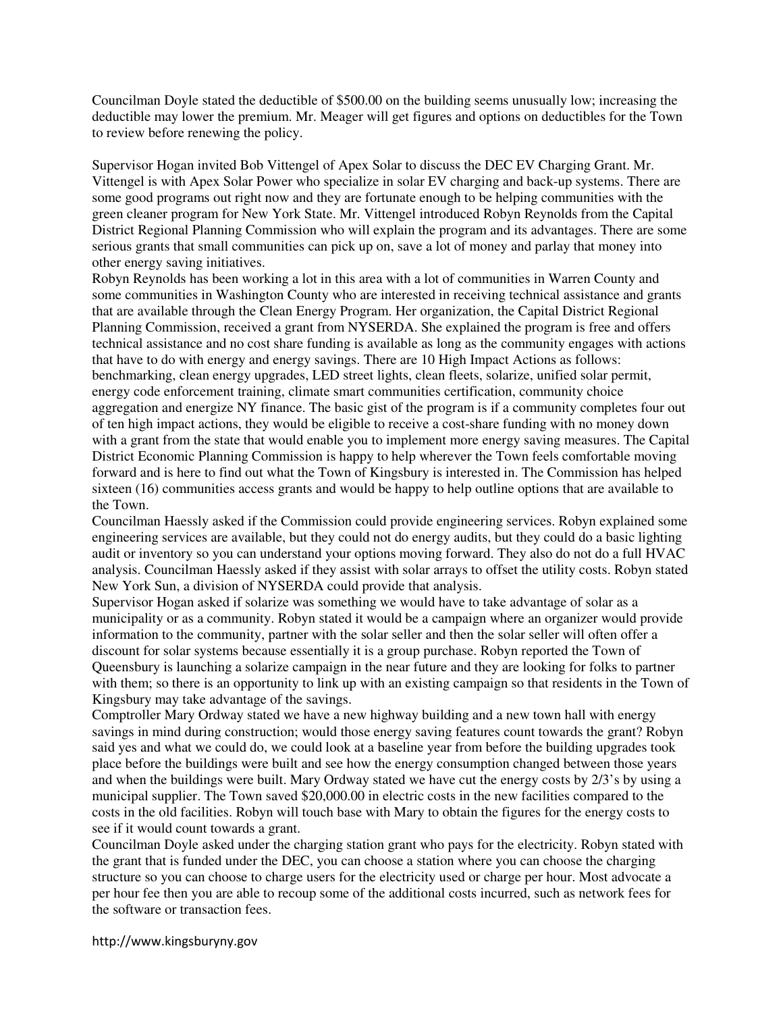Councilman Doyle stated the deductible of \$500.00 on the building seems unusually low; increasing the deductible may lower the premium. Mr. Meager will get figures and options on deductibles for the Town to review before renewing the policy.

Supervisor Hogan invited Bob Vittengel of Apex Solar to discuss the DEC EV Charging Grant. Mr. Vittengel is with Apex Solar Power who specialize in solar EV charging and back-up systems. There are some good programs out right now and they are fortunate enough to be helping communities with the green cleaner program for New York State. Mr. Vittengel introduced Robyn Reynolds from the Capital District Regional Planning Commission who will explain the program and its advantages. There are some serious grants that small communities can pick up on, save a lot of money and parlay that money into other energy saving initiatives.

Robyn Reynolds has been working a lot in this area with a lot of communities in Warren County and some communities in Washington County who are interested in receiving technical assistance and grants that are available through the Clean Energy Program. Her organization, the Capital District Regional Planning Commission, received a grant from NYSERDA. She explained the program is free and offers technical assistance and no cost share funding is available as long as the community engages with actions that have to do with energy and energy savings. There are 10 High Impact Actions as follows: benchmarking, clean energy upgrades, LED street lights, clean fleets, solarize, unified solar permit, energy code enforcement training, climate smart communities certification, community choice aggregation and energize NY finance. The basic gist of the program is if a community completes four out of ten high impact actions, they would be eligible to receive a cost-share funding with no money down with a grant from the state that would enable you to implement more energy saving measures. The Capital District Economic Planning Commission is happy to help wherever the Town feels comfortable moving forward and is here to find out what the Town of Kingsbury is interested in. The Commission has helped sixteen (16) communities access grants and would be happy to help outline options that are available to the Town.

Councilman Haessly asked if the Commission could provide engineering services. Robyn explained some engineering services are available, but they could not do energy audits, but they could do a basic lighting audit or inventory so you can understand your options moving forward. They also do not do a full HVAC analysis. Councilman Haessly asked if they assist with solar arrays to offset the utility costs. Robyn stated New York Sun, a division of NYSERDA could provide that analysis.

Supervisor Hogan asked if solarize was something we would have to take advantage of solar as a municipality or as a community. Robyn stated it would be a campaign where an organizer would provide information to the community, partner with the solar seller and then the solar seller will often offer a discount for solar systems because essentially it is a group purchase. Robyn reported the Town of Queensbury is launching a solarize campaign in the near future and they are looking for folks to partner with them; so there is an opportunity to link up with an existing campaign so that residents in the Town of Kingsbury may take advantage of the savings.

Comptroller Mary Ordway stated we have a new highway building and a new town hall with energy savings in mind during construction; would those energy saving features count towards the grant? Robyn said yes and what we could do, we could look at a baseline year from before the building upgrades took place before the buildings were built and see how the energy consumption changed between those years and when the buildings were built. Mary Ordway stated we have cut the energy costs by 2/3's by using a municipal supplier. The Town saved \$20,000.00 in electric costs in the new facilities compared to the costs in the old facilities. Robyn will touch base with Mary to obtain the figures for the energy costs to see if it would count towards a grant.

Councilman Doyle asked under the charging station grant who pays for the electricity. Robyn stated with the grant that is funded under the DEC, you can choose a station where you can choose the charging structure so you can choose to charge users for the electricity used or charge per hour. Most advocate a per hour fee then you are able to recoup some of the additional costs incurred, such as network fees for the software or transaction fees.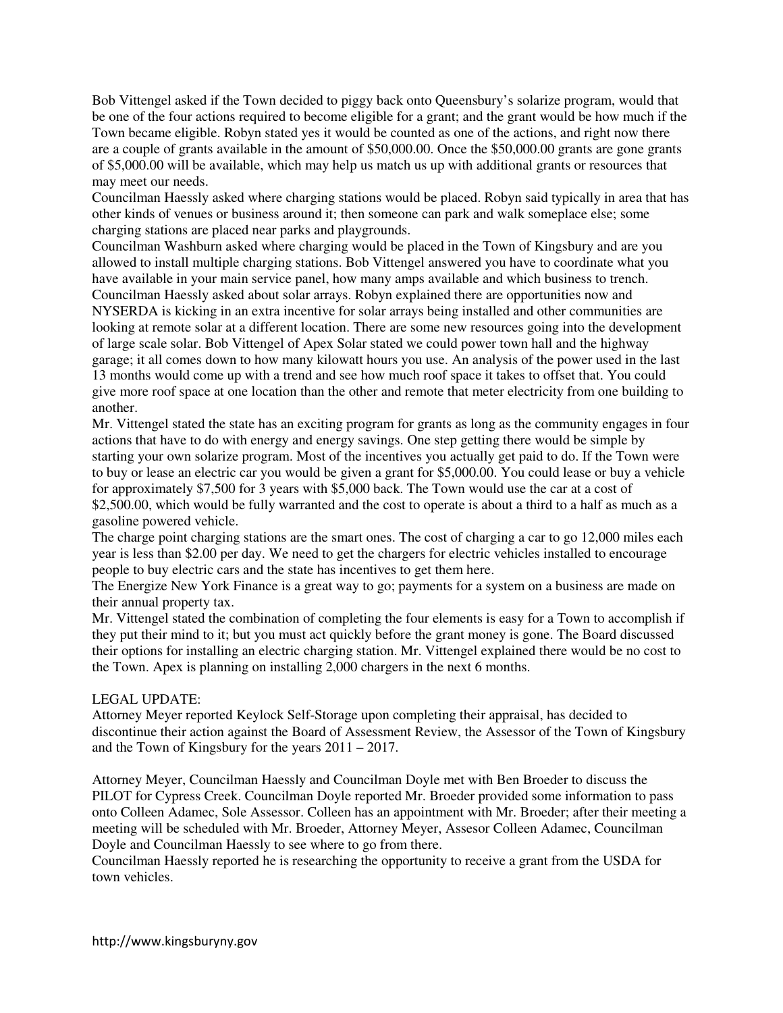Bob Vittengel asked if the Town decided to piggy back onto Queensbury's solarize program, would that be one of the four actions required to become eligible for a grant; and the grant would be how much if the Town became eligible. Robyn stated yes it would be counted as one of the actions, and right now there are a couple of grants available in the amount of \$50,000.00. Once the \$50,000.00 grants are gone grants of \$5,000.00 will be available, which may help us match us up with additional grants or resources that may meet our needs.

Councilman Haessly asked where charging stations would be placed. Robyn said typically in area that has other kinds of venues or business around it; then someone can park and walk someplace else; some charging stations are placed near parks and playgrounds.

Councilman Washburn asked where charging would be placed in the Town of Kingsbury and are you allowed to install multiple charging stations. Bob Vittengel answered you have to coordinate what you have available in your main service panel, how many amps available and which business to trench. Councilman Haessly asked about solar arrays. Robyn explained there are opportunities now and NYSERDA is kicking in an extra incentive for solar arrays being installed and other communities are looking at remote solar at a different location. There are some new resources going into the development of large scale solar. Bob Vittengel of Apex Solar stated we could power town hall and the highway garage; it all comes down to how many kilowatt hours you use. An analysis of the power used in the last 13 months would come up with a trend and see how much roof space it takes to offset that. You could give more roof space at one location than the other and remote that meter electricity from one building to another.

Mr. Vittengel stated the state has an exciting program for grants as long as the community engages in four actions that have to do with energy and energy savings. One step getting there would be simple by starting your own solarize program. Most of the incentives you actually get paid to do. If the Town were to buy or lease an electric car you would be given a grant for \$5,000.00. You could lease or buy a vehicle for approximately \$7,500 for 3 years with \$5,000 back. The Town would use the car at a cost of \$2,500.00, which would be fully warranted and the cost to operate is about a third to a half as much as a gasoline powered vehicle.

The charge point charging stations are the smart ones. The cost of charging a car to go 12,000 miles each year is less than \$2.00 per day. We need to get the chargers for electric vehicles installed to encourage people to buy electric cars and the state has incentives to get them here.

The Energize New York Finance is a great way to go; payments for a system on a business are made on their annual property tax.

Mr. Vittengel stated the combination of completing the four elements is easy for a Town to accomplish if they put their mind to it; but you must act quickly before the grant money is gone. The Board discussed their options for installing an electric charging station. Mr. Vittengel explained there would be no cost to the Town. Apex is planning on installing 2,000 chargers in the next 6 months.

## LEGAL UPDATE:

Attorney Meyer reported Keylock Self-Storage upon completing their appraisal, has decided to discontinue their action against the Board of Assessment Review, the Assessor of the Town of Kingsbury and the Town of Kingsbury for the years 2011 – 2017.

Attorney Meyer, Councilman Haessly and Councilman Doyle met with Ben Broeder to discuss the PILOT for Cypress Creek. Councilman Doyle reported Mr. Broeder provided some information to pass onto Colleen Adamec, Sole Assessor. Colleen has an appointment with Mr. Broeder; after their meeting a meeting will be scheduled with Mr. Broeder, Attorney Meyer, Assesor Colleen Adamec, Councilman Doyle and Councilman Haessly to see where to go from there.

Councilman Haessly reported he is researching the opportunity to receive a grant from the USDA for town vehicles.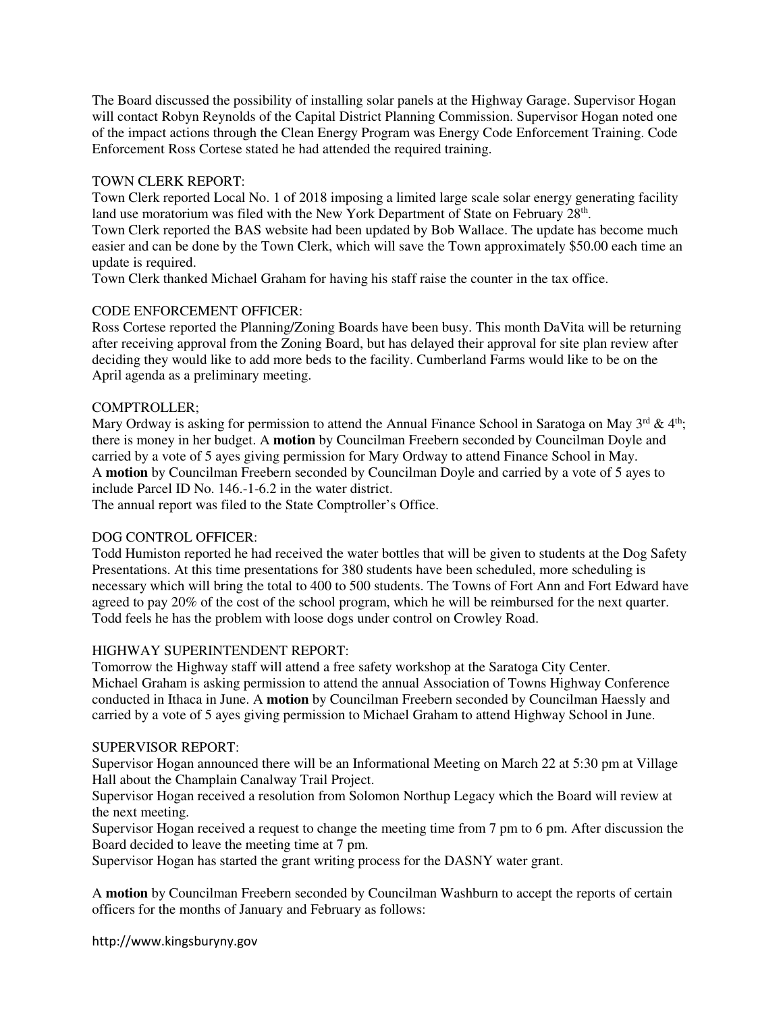The Board discussed the possibility of installing solar panels at the Highway Garage. Supervisor Hogan will contact Robyn Reynolds of the Capital District Planning Commission. Supervisor Hogan noted one of the impact actions through the Clean Energy Program was Energy Code Enforcement Training. Code Enforcement Ross Cortese stated he had attended the required training.

## TOWN CLERK REPORT:

Town Clerk reported Local No. 1 of 2018 imposing a limited large scale solar energy generating facility land use moratorium was filed with the New York Department of State on February 28<sup>th</sup>.

Town Clerk reported the BAS website had been updated by Bob Wallace. The update has become much easier and can be done by the Town Clerk, which will save the Town approximately \$50.00 each time an update is required.

Town Clerk thanked Michael Graham for having his staff raise the counter in the tax office.

## CODE ENFORCEMENT OFFICER:

Ross Cortese reported the Planning/Zoning Boards have been busy. This month DaVita will be returning after receiving approval from the Zoning Board, but has delayed their approval for site plan review after deciding they would like to add more beds to the facility. Cumberland Farms would like to be on the April agenda as a preliminary meeting.

## COMPTROLLER;

Mary Ordway is asking for permission to attend the Annual Finance School in Saratoga on May  $3^{rd}$  & 4<sup>th</sup>; there is money in her budget. A **motion** by Councilman Freebern seconded by Councilman Doyle and carried by a vote of 5 ayes giving permission for Mary Ordway to attend Finance School in May. A **motion** by Councilman Freebern seconded by Councilman Doyle and carried by a vote of 5 ayes to include Parcel ID No. 146.-1-6.2 in the water district.

The annual report was filed to the State Comptroller's Office.

# DOG CONTROL OFFICER:

Todd Humiston reported he had received the water bottles that will be given to students at the Dog Safety Presentations. At this time presentations for 380 students have been scheduled, more scheduling is necessary which will bring the total to 400 to 500 students. The Towns of Fort Ann and Fort Edward have agreed to pay 20% of the cost of the school program, which he will be reimbursed for the next quarter. Todd feels he has the problem with loose dogs under control on Crowley Road.

## HIGHWAY SUPERINTENDENT REPORT:

Tomorrow the Highway staff will attend a free safety workshop at the Saratoga City Center. Michael Graham is asking permission to attend the annual Association of Towns Highway Conference conducted in Ithaca in June. A **motion** by Councilman Freebern seconded by Councilman Haessly and carried by a vote of 5 ayes giving permission to Michael Graham to attend Highway School in June.

## SUPERVISOR REPORT:

Supervisor Hogan announced there will be an Informational Meeting on March 22 at 5:30 pm at Village Hall about the Champlain Canalway Trail Project.

Supervisor Hogan received a resolution from Solomon Northup Legacy which the Board will review at the next meeting.

Supervisor Hogan received a request to change the meeting time from 7 pm to 6 pm. After discussion the Board decided to leave the meeting time at 7 pm.

Supervisor Hogan has started the grant writing process for the DASNY water grant.

A **motion** by Councilman Freebern seconded by Councilman Washburn to accept the reports of certain officers for the months of January and February as follows:

http://www.kingsburyny.gov